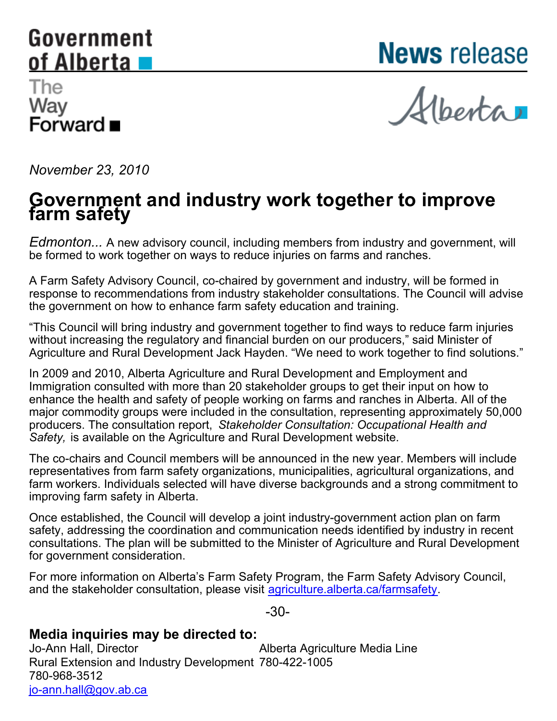## <span id="page-0-0"></span>Government of Alberta

**News release** 

## The Way ……<br>Forward ■

Alberta

*November 23, 2010*

## **Government and industry work together to improve farm safety**

*Edmonton...* A new advisory council, including members from industry and government, will be formed to work together on ways to reduce injuries on farms and ranches.

A Farm Safety Advisory Council, co-chaired by government and industry, will be formed in response to recommendations from industry stakeholder consultations. The Council will advise the government on how to enhance farm safety education and training.

"This Council will bring industry and government together to find ways to reduce farm injuries without increasing the regulatory and financial burden on our producers," said Minister of Agriculture and Rural Development Jack Hayden. "We need to work together to find solutions."

In 2009 and 2010, Alberta Agriculture and Rural Development and Employment and Immigration consulted with more than 20 stakeholder groups to get their input on how to enhance the health and safety of people working on farms and ranches in Alberta. All of the major commodity groups were included in the consultation, representing approximately 50,000 producers. The consultation report, *Stakeholder Consultation: Occupational Health and Safety,* is available on the Agriculture and Rural Development website.

The co-chairs and Council members will be announced in the new year. Members will include representatives from farm safety organizations, municipalities, agricultural organizations, and farm workers. Individuals selected will have diverse backgrounds and a strong commitment to improving farm safety in Alberta.

Once established, the Council will develop a joint industry-government action plan on farm safety, addressing the coordination and communication needs identified by industry in recent consultations. The plan will be submitted to the Minister of Agriculture and Rural Development for government consideration.

For more information on Alberta's Farm Safety Program, the Farm Safety Advisory Council, and the stakeholder consultation, please visit [agriculture.alberta.ca/farmsafety](http://agriculture.alberta.ca/farmsafety).

-30-

## **Media inquiries may be directed to:**

Jo-Ann Hall, Director Rural Extension and Industry Development 780-422-1005780-968-3512 [jo-ann.hall@gov.ab.ca](mailto:jo-ann.hall@gov.ab.ca) Alberta Agriculture Media Line